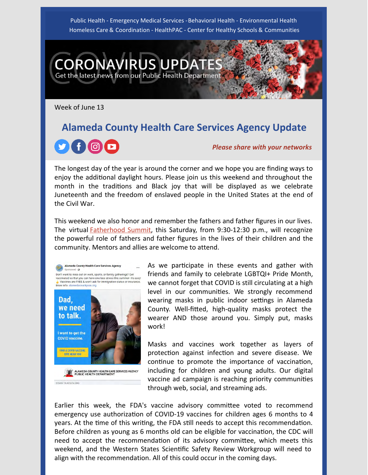Public Health - Emergency Medical Services - Behavioral Health - Environmental Health Homeless Care & Coordination - HealthPAC - Center for Healthy Schools & Communities

**RUS UPDA** Get the latest news from our Public Health Department

Week of June 13

# **Alameda County Health Care Services Agency Update**



*Please share with your networks*

The longest day of the year is around the corner and we hope you are finding ways to enjoy the additional daylight hours. Please join us this weekend and throughout the month in the traditions and Black joy that will be displayed as we celebrate Juneteenth and the freedom of enslaved people in the United States at the end of the Civil War.

This weekend we also honor and remember the fathers and father figures in our lives. The virtual **[Fatherhood Summit](https://youtu.be/xrQzgiPP9MM)**, this Saturday, from 9:30-12:30 p.m., will recognize the powerful role of fathers and father figures in the lives of their children and the community. Mentors and allies are welcome to attend.



As we participate in these events and gather with friends and family to celebrate LGBTQI+ Pride Month, we cannot forget that COVID is still circulating at a high level in our communities. We strongly recommend wearing masks in public indoor settings in Alameda County. Well-fitted, high-quality masks protect the wearer AND those around you. Simply put, masks work!

Masks and vaccines work together as layers of protection against infection and severe disease. We continue to promote the importance of vaccination, including for children and young adults. Our digital vaccine ad campaign is reaching priority communities through web, social, and streaming ads.

Earlier this week, the FDA's vaccine advisory committee voted to recommend emergency use authorization of COVID-19 vaccines for children ages 6 months to 4 years. At the time of this writing, the FDA still needs to accept this recommendation. Before children as young as 6 months old can be eligible for vaccination, the CDC will need to accept the recommendation of its advisory committee, which meets this weekend, and the Western States Scientific Safety Review Workgroup will need to align with the recommendation. All of this could occur in the coming days.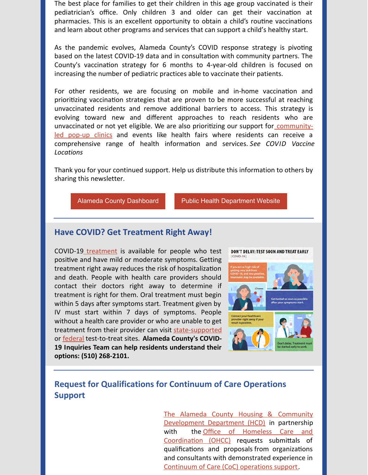The best place for families to get their children in this age group vaccinated is their pediatrician's office. Only children 3 and older can get their vaccination at pharmacies. This is an excellent opportunity to obtain a child's routine vaccinations and learn about other programs and services that can support a child's healthy start.

As the pandemic evolves, Alameda County's COVID response strategy is pivoting based on the latest COVID-19 data and in consultation with community partners. The County's vaccination strategy for 6 months to 4-year-old children is focused on increasing the number of pediatric practices able to vaccinate their patients.

For other residents, we are focusing on mobile and in-home vaccination and prioritizing vaccination strategies that are proven to be more successful at reaching unvaccinated residents and remove additional barriers to access. This strategy is evolving toward new and different approaches to reach residents who are unvaccinated or not yet eligible. We are also prioritizing our support for communityled pop-up clinics and events like health fairs where residents can receive a comprehensive range of health information and services. *See COVID Vaccine Locations*

Thank you for your continued support. Help us distribute this information to others by sharing this newsletter.

[Alameda County Dashboard](https://covid-19.acgov.org/data) **[Public Health Department Website](http://www.acphd.org/)** 

#### **Have COVID? Get Treatment Right Away!**

COVID-1[9 treatment](https://covid-19.acgov.org/treatment) is available for people who test positive and have mild or moderate symptoms. Getting treatment right away reduces the risk of hospitalization and death. People with health care providers should contact their doctors right away to determine if treatment is right for them. Oral treatment must begin within 5 days after symptoms start. Treatment given by IV must start within 7 days of symptoms. People without a health care provider or who are unable to get treatment from their provider can visit [state-supported](https://lhi.care/covidtesting) or [federal](https://covid-19-test-to-treat-locator-dhhs.hub.arcgis.com/) test-to-treat sites. **Alameda County's COVID-19 Inquiries Team can help residents understand their options: (510) 268-2101.**



### **Request for Qualifications for Continuum of Care Operations Support**

[The Alameda County Housing & Community](https://www.acgov.org/cda/hcd/) Development Department (HCD) in partnership [with the Office of Homeless Care and](https://homelessness.acgov.org/index.page) Coordination (OHCC) requests submittals of qualifications and proposals from organizations and consultants with demonstrated experience in [Continuum of Care \(CoC\) operations support](https://www.acgov.org/cda/hcd/documents/RFQForContinuumofCareOperationsSupport_FINAL61622.pdf).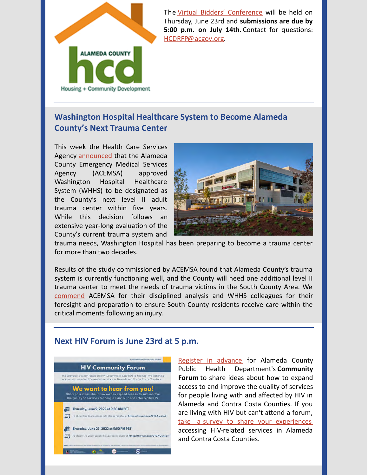

The [Virtual Bidders' Conference](https://us02web.zoom.us/j/87203359419?pwd=K3pQSmVMK09pTTB3SC9zTTRLRE1oQT09) will be held on Thursday, June 23rd and **submissions are due by 5:00 p.m. on July 14th.** Contact for questions: [HCDRFP@acgov.org](mailto:HCDRFP@acgov.org).

## **Washington Hospital Healthcare System to Become Alameda County's Next Trauma Center**

This week the Health Care Services Agency [announced](https://covid-19.acgov.org/covid19-assets/docs/press/press-release-2022.06.14.pdf) that the Alameda County Emergency Medical Services Agency (ACEMSA) approved Washington Hospital Healthcare System (WHHS) to be designated as the County's next level II adult trauma center within five years. While this decision follows an extensive year-long evaluation of the County's current trauma system and



trauma needs, Washington Hospital has been preparing to become a trauma center for more than two decades.

Results of the study commissioned by ACEMSA found that Alameda County's trauma system is currently functioning well, and the County will need one additional level II trauma center to meet the needs of trauma victims in the South County Area. We [commend](https://youtu.be/0Tbo51SrhdU) ACEMSA for their disciplined analysis and WHHS colleagues for their foresight and preparation to ensure South County residents receive care within the critical moments following an injury.

#### **Next HIV Forum is June 23rd at 5 p.m.**



[Register in advance](https://us06web.zoom.us/meeting/register/tZArf-mrqD4rGdBP2TNqTTgb5Voxpk3t3NAD) for Alameda County Public Health Department's **Community Forum** to share ideas about how to expand access to and improve the quality of services for people living with and affected by HIV in Alameda and Contra Costa Counties. If you are living with HIV but can't attend a forum, take a [survey to share your experiences](https://survey.alchemer.com/s3/6886824/2022-Consumer-Survey-Final) accessing HIV-related services in Alameda and Contra Costa Counties.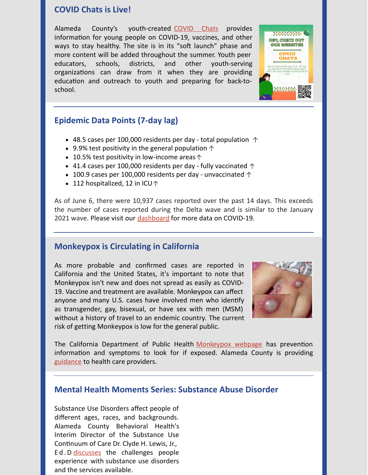#### **COVID Chats is Live!**

Alameda County's youth-created [COVID Chats](https://youthcoviddev.wpengine.com/) provides information for young people on COVID-19, vaccines, and other ways to stay healthy. The site is in its "soft launch" phase and more content will be added throughout the summer. Youth peer educators, schools, districts, and other youth-serving organizations can draw from it when they are providing education and outreach to youth and preparing for back-toschool.

# **Epidemic Data Points (7-day lag)**

- 48.5 cases per 100,000 residents per day total population  $\uparrow$
- 9.9% test positivity in the general population  $\uparrow$
- 10.5% test positivity in low-income areas  $\uparrow$
- $\bullet$  41.4 cases per 100,000 residents per day fully vaccinated  $\uparrow$
- 100.9 cases per 100,000 residents per day unvaccinated  $\uparrow$
- 112 hospitalized, 12 in ICU  $\uparrow$

As of June 6, there were 10,937 cases reported over the past 14 days. This exceeds the number of cases reported during the Delta wave and is similar to the January 2021 wave. Please visit our [dashboard](https://covid-19.acgov.org/data) for more data on COVID-19.

#### **[Monkeypox is Circulating in California](https://www.sfchronicle.com/health/article/Alameda-County-has-first-suspected-case-of-17231254.php)**

As more probable and confirmed cases are reported in California and the United States, it's important to note that Monkeypox isn't new and does not spread as easily as COVID-19. Vaccine and treatment are available. Monkeypox can affect anyone and many U.S. cases have involved men who identify as transgender, gay, bisexual, or have sex with men (MSM) without a history of travel to an endemic country. The current risk of getting Monkeypox is low for the general public.



The California Department of Public Health [Monkeypox webpage](https://www.cdph.ca.gov/Programs/CID/DCDC/Pages/Monkeypox.aspx) has prevention information and symptoms to look for if exposed. Alameda County is providing [guidance](https://acphd.org/communicable-disease/monkeypox/) to health care providers.

#### **Mental Health Moments Series: Substance Abuse Disorder**

Substance Use Disorders affect people of different ages, races, and backgrounds. Alameda County Behavioral Health's Interim Director of the Substance Use Continuum of Care Dr. Clyde H. Lewis, Jr., Ed.D [discusses](https://youtu.be/6iDI6S5nUQE) the challenges people experience with substance use disorders and the services available.

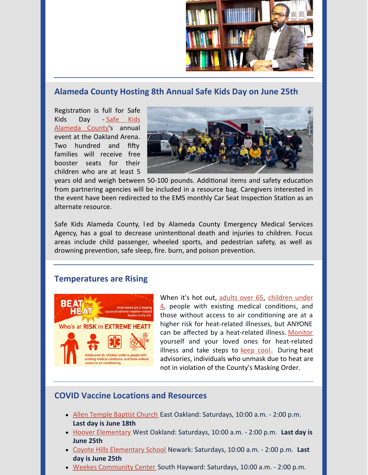

### **Alameda County Hosting 8th Annual Safe Kids Day on June 25th**

Registration is full for Safe [Kids Day - Safe Kids](https://www.safekids.org/coalition/safe-kids-alameda-county) Alameda County's annual event at the Oakland Arena. Two hundred and fifty families will receive free booster seats for their children who are at least 5



years old and weigh between 50-100 pounds. Additional items and safety education from partnering agencies will be included in a resource bag. Caregivers interested in the event have been redirected to the EMS monthly Car Seat Inspection Station as an alternate resource.

Safe Kids Alameda County, l ed by Alameda County Emergency Medical Services Agency, has a goal to decrease unintentional death and injuries to children. Focus areas include child passenger, wheeled sports, and pedestrian safety, as well as drowning prevention, safe sleep, fire. burn, and poison prevention.

#### **Temperatures are Rising**



[When it's hot out, adults over 65, children under](https://www.cdph.ca.gov/Programs/EPO/Pages/Extreme Heat Pages/Children-and-Heat-Related-Illness.aspx)  $\frac{4}{1}$ , people with existing medical conditions, and those without access to air conditioning are at a higher risk for heat-related illnesses, but ANYONE can be affected by a heat-related illness. [Monitor](https://www.cdph.ca.gov/Programs/EPO/Pages/BI_Natural-Disasters_Extreme-Heat_Tips-for-Treating-Heat-Related-Illness.aspx) yourself and your loved ones for heat-related illness and take steps to [keep cool](https://www.cdph.ca.gov/Programs/EPO/Pages/BI_Natural-Disasters_Extreme-Heat_Tips-for-Preventing-Heat-Related-Illness.aspx). During heat advisories, individuals who unmask due to heat are not in violation of the County's Masking Order.

### **COVID Vaccine Locations and Resources**

- [Allen Temple Baptist Church](https://files.constantcontact.com/dbe334f7701/b533baff-0022-471f-bcdf-7ffb42bc6f1b.pdf) East Oakland: Saturdays, 10:00 a.m. 2:00 p.m. **Last day is June 18th**
- [Hoover Elementary](https://files.constantcontact.com/dbe334f7701/b365da43-a85e-491e-9f91-1abdbd1b6047.pdf) West Oakland: Saturdays, 10:00 a.m. 2:00 p.m. **Last day is June 25th**
- [Coyote Hills Elementary School](https://files.constantcontact.com/dbe334f7701/e30ebbb0-0af5-4ff3-966e-2b8fc65553bc.pdf) Newark: Saturdays, 10:00 a.m. 2:00 p.m. **Last day is June 25th**
- [Weekes Community Center](https://files.constantcontact.com/dbe334f7701/182c54df-beae-4813-8046-50358cd9b84b.pdf) South Hayward: Saturdays, 10:00 a.m. 2:00 p.m.